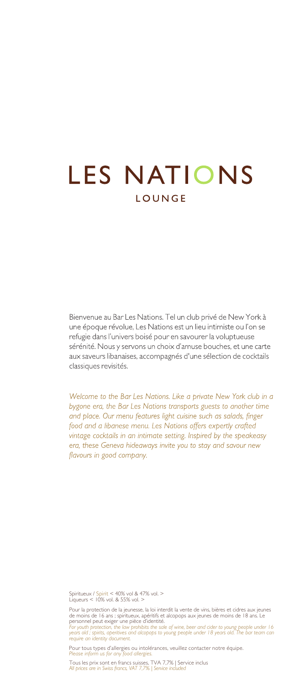## **LES NATIONS** LOUNGE

Bienvenue au Bar Les Nations. Tel un club privé de New York à une époque révolue. Les Nations est un lieu intimiste ou l'on se refugie dans l'univers boisé pour en savourer la voluptueuse sérénité. Nous y servons un choix d'amuse bouches, et une carte aux saveurs libanaises, accompagnés d'une sélection de cocktails classiques revisités.

Welcome to the Bar Les Nations. Like a private New York club in a bygone era, the Bar Les Nations transports guests to another time and place. Our menu features light cuisine such as salads, finger food and a libanese menu. Les Nations offers expertly crafted vintage cocktails in an intimate setting. Inspired by the speakeasy era, these Geneva hideaways invite you to stay and savour new flavours in good company.

Spiritueux / Spirit < 40% vol & 47% vol. > Liqueurs < 10% vol. & 55% vol. >

Pour la protection de la jeunesse, la loi interdit la vente de vins, bières et cidres aux jeunes<br>de moins de 16 ans ; spiritueux, apéritiés et alcopops aux jeunes de moins de 18 ans. Le<br>personnel peut exiger une pièce d'id

Pour tous types d'allergies ou intolérances, veuillez contacter notre équipe. *Please inform us for any food allergies.*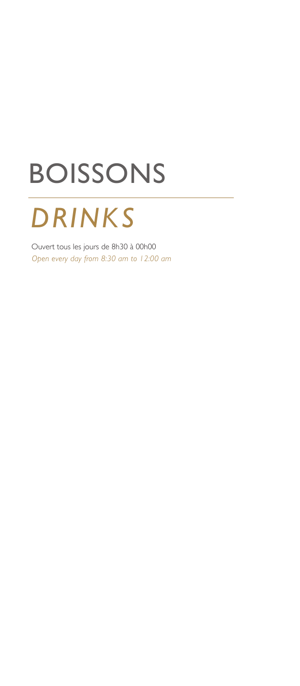## BOISSONS

## *DRINKS*

 Ouvert tous les jours de 8h30 à 00h00 *Open every day from 8:30 am to 12:00 am*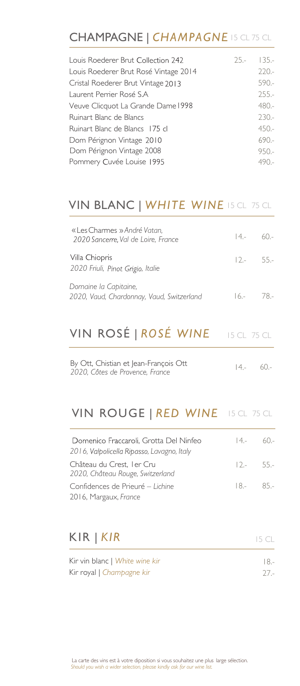#### CHAMPAGNE | *CHAMPAGNE* 15 CL 75 CL

| Louis Roederer Brut Collection 242    | $25 -$ | $135 -$ |
|---------------------------------------|--------|---------|
| Louis Roederer Brut Rosé Vintage 2014 |        | $220 -$ |
| Cristal Roederer Brut Vintage 2013    |        | $590 -$ |
| Laurent Perrier Rosé S.A              |        | $255 -$ |
| Veuve Clicquot La Grande Dame 1998    |        | $480 -$ |
| Ruinart Blanc de Blancs               |        | $230 -$ |
| Ruinart Blanc de Blancs 175 cl        |        | $450 -$ |
| Dom Pérignon Vintage 2010             |        | $690 -$ |
| Dom Pérignon Vintage 2008             |        | $950 -$ |
| Pommery Cuvée Louise 1995             |        | $490 -$ |
|                                       |        |         |

#### VIN BLANC | WHITE WINE **is cl.** 75 cl.

| « Les Charmes » André Vatan,<br>2020 Sancerre, Val de Loire, France | $14 - 60 -$ |        |
|---------------------------------------------------------------------|-------------|--------|
| Villa Chiopris<br>2020 Friuli, Pinot Grigio, Italie                 | $12 - 55 -$ |        |
| Domaine la Capitaine,<br>2020, Vaud, Chardonnay, Vaud, Switzerland  | $6 -$       | - 78.- |

#### 15 CL 75 CL VIN ROSÉ | *ROSÉ WINE*

| By Ott, Chistian et Jean-François Ott | $(4 - 60 -$ |  |
|---------------------------------------|-------------|--|
| 2020, Côtes de Provence, France       |             |  |

#### **VIN ROUGE | RED WINE** 15 CL 75 CL

| Domenico Fraccaroli, Grotta Del Ninfeo<br>2016, Valpolicella Ripasso, Lavagno, Italy | $14-$       | $6() -$ |
|--------------------------------------------------------------------------------------|-------------|---------|
| Château du Crest, I er Cru<br>2020, Château Rouge, Switzerland                       | $12 - 55 -$ |         |
| Confidences de Prieuré – Lichine                                                     | $8 - 85 -$  |         |
| 2016, Margaux, France                                                                |             |         |

#### KIR | *KIR*

| Kir vin blanc   White wine kir | -8.    |
|--------------------------------|--------|
| Kir royal   Champagne kir      | $27 -$ |

15 CL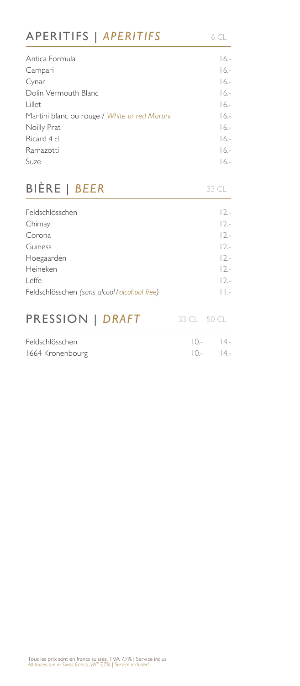#### APERITIFS | APERITIFS 6CL

| Antica Formula                                | $16 -$  |
|-----------------------------------------------|---------|
| Campari                                       | $16 -$  |
| Cynar                                         | $16 -$  |
| Dolin Vermouth Blanc                          | $16 -$  |
| Lillet                                        | $16 -$  |
| Martini blanc ou rouge / White or red Martini | $16 -$  |
| Noilly Prat                                   | $16 -$  |
| Ricard 4 cl                                   | $16 -$  |
| Ramazotti                                     | $16 -$  |
| Suze                                          | $16. -$ |

## BIÈRE | *BEER*

|  | $\prec$ | $\sim$ |
|--|---------|--------|
|  |         |        |

| Feldschlösschen                             | $12 -$ |
|---------------------------------------------|--------|
| Chimay                                      | $12 -$ |
| Corona                                      | $12 -$ |
| Guiness                                     | $12 -$ |
| Hoegaarden                                  | $12 -$ |
| Heineken                                    | $12 -$ |
| Leffe                                       | $12 -$ |
| Feldschlösschen (sans alcool/alcohool free) | $\Box$ |
|                                             |        |
| PRESSION   DRAFT                            |        |

| Feldschlösschen  | $10 - 14 -$ |  |
|------------------|-------------|--|
| 1664 Kronenbourg | $(0, -14)$  |  |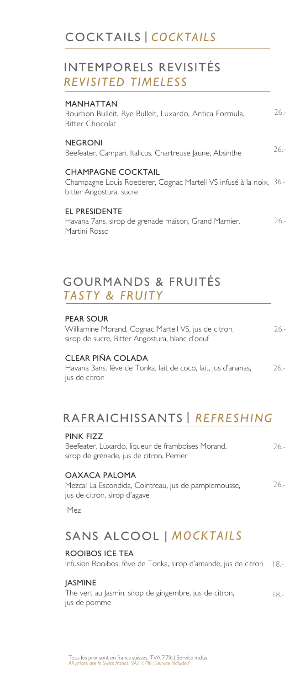#### INTEMPORELS REVISITÉS *REVISITED TIMELESS*

| MANHATTAN<br>Bourbon Bulleit, Rye Bulleit, Luxardo, Antica Formula,<br>Bitter Chocolat                                     | $26 -$ |
|----------------------------------------------------------------------------------------------------------------------------|--------|
| NEGRONI<br>Beefeater, Campari, Italicus, Chartreuse Jaune, Absinthe                                                        | $26 -$ |
| <b>CHAMPAGNE COCKTAIL</b><br>Champagne Louis Roederer, Cognac Martell VS infusé à la noix, 36.-<br>bitter Angostura, sucre |        |
| EL PRESIDENTE<br>Havana 7ans, sirop de grenade maison, Grand Marnier,<br>Martini Rosso                                     | $26 -$ |
|                                                                                                                            |        |

#### *TASTY & FRUITY*  GOURMANDS & FRUITÉS

#### PEAR SOUR

Williamine Morand, Cognac Martell VS, jus de citron, sirop de sucre, Bitter Angostura, blanc d'oeuf 26.-

#### CLEAR PIÑA COLADA

Havana 3ans, fève de Tonka, lait de coco, lait, jus d'ananas, jus de citron 26.-

### RAFRAICHISSANTS | *REFRESHING*

| PINK FIZZ                                         |       |
|---------------------------------------------------|-------|
| Beefeater, Luxardo, liqueur de framboises Morand, | $26-$ |
| sirop de grenade, jus de citron, Perrier          |       |
|                                                   |       |

#### OAXACA PALOMA

Mezcal La Escondida, Cointreau, jus de pamplemousse, jus de citron, sirop d'agave 26.-

Mez

### | *MOCKTAILS*  SANS ALCOOL

#### ROOIBOS ICE TEA

Infusion Rooibos, fève de Tonka, sirop d'amande, jus de citron 18.-

#### **IASMINE**

The vert au Jasmin, sirop de gingembre, jus de citron, jus de pomme 18.-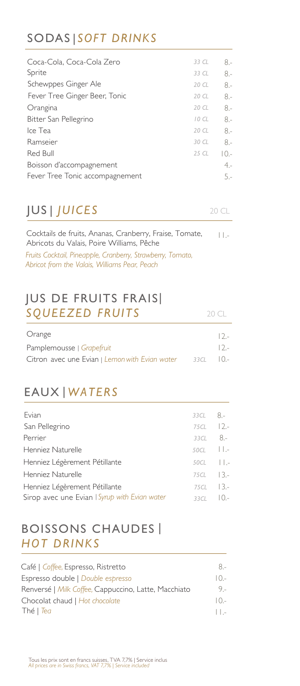#### SODAS | *SOFT DRINKS*

| Coca-Cola, Coca-Cola Zero       | 33 CL | 8.-    |
|---------------------------------|-------|--------|
| Sprite                          | 33 CL | $8 -$  |
| Schewppes Ginger Ale            | 20 CL | $8 -$  |
| Fever Tree Ginger Beer, Tonic   | 20 CL | $8 -$  |
| Orangina                        | 20 CL | 8.-    |
| Bitter San Pellegrino           | 10CL  | $8 -$  |
| Ice Tea                         | 20 CL | $8 -$  |
| Ramseier                        | 30 CL | $8-$   |
| Red Bull                        | 25 CL | I 0.-  |
| Boisson d'accompagnement        |       | $4. -$ |
| Fever Tree Tonic accompagnement |       | 5.-    |
|                                 |       |        |

### JUS | *JUICES*

20 CL

20 CL

Cocktails de fruits, Ananas, Cranberry, Fraise, Tomate, Abricots du Valais, Poire Williams, Pêche *Fruits Cocktail, Pineapple, Cranberry, Strawberry, Tomato, Abricot from the Valais, Williams Pear, Peach* 11.-

#### JUS DE FRUITS FRAIS| *SQUEEZED FRUITS*

| Orange                                         |       | $12 -$ |
|------------------------------------------------|-------|--------|
| Pamplemousse   Grapefruit                      |       | $12 -$ |
| Citron avec une Evian   Lemon with Evian water | 3.3CL | (      |

### EAUX | *WATERS*

| Evian                                         | $33CL$ $8. -$          |  |
|-----------------------------------------------|------------------------|--|
| San Pellegrino                                | 75CL 12 .-             |  |
| Perrier                                       | $33CL$ $8. -$          |  |
| Henniez Naturelle                             | $50CL$ $11.7$          |  |
| Henniez Légèrement Pétillante                 | $50CL$ $ $ .           |  |
| Henniez Naturelle                             | $75CL$ $13.$           |  |
| Henniez Légèrement Pétillante                 | $75CL$ $13-$           |  |
| Sirop avec une Evian   Syrup with Evian water | 33CL $\vert 0,- \vert$ |  |

#### BOISSONS CHAUDES | *HOT DRINKS*

| Café   Coffee, Espresso, Ristretto                   | $8 -$    |
|------------------------------------------------------|----------|
| Espresso double   Double espresso                    | $10-$    |
| Renversé   Milk Coffee, Cappuccino, Latte, Macchiato | 9 -      |
| Chocolat chaud   Hot chocolate                       | $10-$    |
| Thé   <i>Tea</i>                                     | $\Box$ - |
|                                                      |          |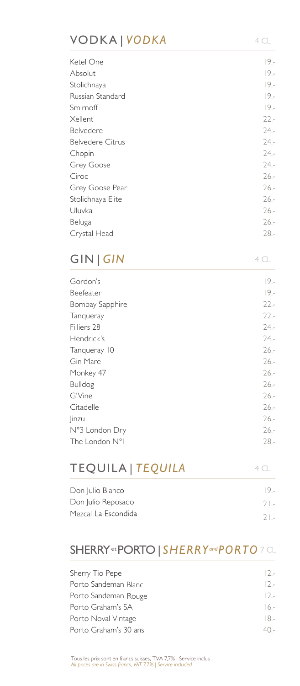#### VODKA | *VODKA* 4 CL

| Ketel One               | $19 -$  |
|-------------------------|---------|
| Absolut                 | $19 -$  |
| Stolichnaya             | $19. -$ |
| Russian Standard        | $19. -$ |
| Smirnoff                | $19 -$  |
| Xellent                 | $22 -$  |
| Belvedere               | $24. -$ |
| <b>Belvedere Citrus</b> | $24. -$ |
| Chopin                  | $24. -$ |
| Grey Goose              | $24 -$  |
| Ciroc                   | $26. -$ |
| Grey Goose Pear         | $26. -$ |
| Stolichnaya Elite       | $26. -$ |
| Uluvka                  | $26. -$ |
| Beluga                  | $26. -$ |
| Crystal Head            | $28 -$  |
|                         |         |

#### GIN | *GIN*

4 CL

| Gordon's        | $19 -$  |
|-----------------|---------|
| Beefeater       | $19 -$  |
| Bombay Sapphire | $22 -$  |
| Tanqueray       | $22 -$  |
| Filliers 28     | $24. -$ |
| Hendrick's      | $24. -$ |
| Tanqueray 10    | $26 -$  |
| Gin Mare        | $26 -$  |
| Monkey 47       | $26 -$  |
| <b>Bulldog</b>  | $26 -$  |
| G'Vine          | $26 -$  |
| Citadelle       | $26 -$  |
| linzu           | $26. -$ |
| N°3 London Dry  | $26 -$  |
| The London N°1  | $28 -$  |
|                 |         |

| <b>TEQUILA   TEQUILA</b> | 4 C L  |
|--------------------------|--------|
| Don Julio Blanco         | $19 -$ |
| Don Julio Reposado       | $2  -$ |
| Mezcal La Escondida      | $2  -$ |

#### $SHERRY$ <sup>et</sup> $\sf{PORTO}$  |  $SHERRY$ and $\sf{PORTO}$  7 CL

| Sherry Tio Pepe       | $12 -$  |
|-----------------------|---------|
| Porto Sandeman Blanc  | $12 -$  |
| Porto Sandeman Rouge  | $12 -$  |
| Porto Graham's SA     | $16 -$  |
| Porto Noval Vintage   | $18-$   |
| Porto Graham's 30 ans | $4() -$ |
|                       |         |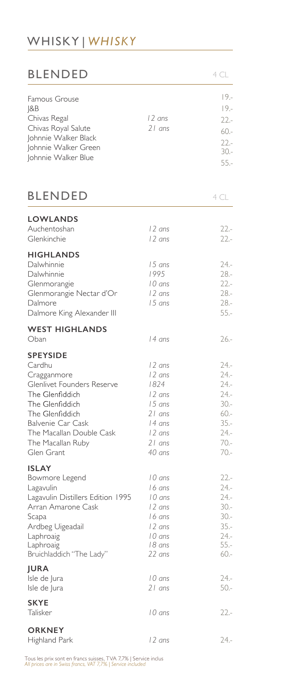### WHISKY | *WHISKY*

| <b>BLENDED</b>                                                                                                                                                                                                      |                                                                                                    | 4 CL                                                                                               |
|---------------------------------------------------------------------------------------------------------------------------------------------------------------------------------------------------------------------|----------------------------------------------------------------------------------------------------|----------------------------------------------------------------------------------------------------|
| Famous Grouse<br> 8B<br>Chivas Regal<br>Chivas Royal Salute<br>Johnnie Walker Black<br>Johnnie Walker Green<br>Johnnie Walker Blue                                                                                  | 12 ans<br>$21$ ans                                                                                 | $19. -$<br>$19. -$<br>$22 -$<br>60.-<br>$22 -$<br>$30 -$<br>$55. -$                                |
| <b>BLENDED</b>                                                                                                                                                                                                      |                                                                                                    | 4 CL                                                                                               |
| <b>LOWLANDS</b><br>Auchentoshan<br>Glenkinchie                                                                                                                                                                      | 12 ans<br>12 ans                                                                                   | $22 -$<br>$22 -$                                                                                   |
| <b>HIGHLANDS</b><br>Dalwhinnie<br>Dalwhinnie<br>Glenmorangie<br>Glenmorangie Nectar d'Or<br>Dalmore<br>Dalmore King Alexander III                                                                                   | 15 ans<br>1995<br>10 ans<br>12 ans<br>15 ans                                                       | $24. -$<br>$28 -$<br>$22 -$<br>$28 -$<br>$28 -$<br>$55. -$                                         |
| <b>WEST HIGHLANDS</b><br>Oban                                                                                                                                                                                       | 14 ans                                                                                             | $26. -$                                                                                            |
| <b>SPEYSIDE</b><br>Cardhu<br>Cragganmore<br>Glenlivet Founders Reserve<br>The Glenfiddich<br>The Glenfiddich<br>The Glenfiddich<br>Balvenie Car Cask<br>The Macallan Double Cask<br>The Macallan Ruby<br>Glen Grant | 12 ans<br>12 ans<br>1824<br>12 ans<br>15 ans<br>21 ans<br>l 4 ans<br>l 2 ans<br>$21$ ans<br>40 ans | $24. -$<br>$24. -$<br>$24. -$<br>$24. -$<br>$30 -$<br>$60 -$<br>$35. -$<br>24.-<br>70.-<br>$70. -$ |
| <b>ISLAY</b><br>Bowmore Legend<br>Lagavulin<br>Lagavulin Distillers Edition 1995<br>Arran Amarone Cask<br>Scapa<br>Ardbeg Uigeadail<br>Laphroaig<br>Laphroaig<br>Bruichladdich "The Lady"                           | 10 ans<br>16 ans<br>10 ans<br>12 ans<br>16 ans<br>12 ans<br>10 ans<br>18 ans<br>22 ans             | $22 -$<br>$24. -$<br>$24. -$<br>$30 -$<br>$30 -$<br>$35. -$<br>$24. -$<br>$55. -$<br>$60 -$        |
| <b>JURA</b><br>Isle de Jura<br>Isle de Jura                                                                                                                                                                         | 10 ans<br>$21$ ans                                                                                 | $24. -$<br>$50 -$                                                                                  |
| <b>SKYE</b><br>Talisker                                                                                                                                                                                             | 10 ans                                                                                             | $22 -$                                                                                             |
| <b>ORKNEY</b><br>Highland Park                                                                                                                                                                                      | 12 ans                                                                                             | $24. -$                                                                                            |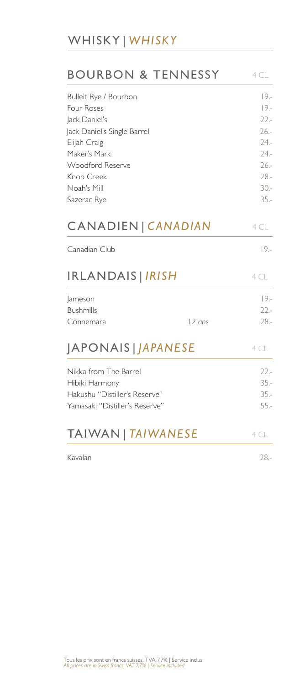### WHISKY | *WHISKY*

| BOURBON & TENNESSY                                                                                                                                                                  |        | 4 CL                                                                                               |
|-------------------------------------------------------------------------------------------------------------------------------------------------------------------------------------|--------|----------------------------------------------------------------------------------------------------|
| Bulleit Rye / Bourbon<br>Four Roses<br>Jack Daniel's<br>Jack Daniel's Single Barrel<br>Elijah Craig<br>Maker's Mark<br>Woodford Reserve<br>Knob Creek<br>Noah's Mill<br>Sazerac Rye |        | $19 -$<br>$19 -$<br>$22 -$<br>$26 -$<br>$24. -$<br>$24. -$<br>$26 -$<br>$28 -$<br>$30 -$<br>$35 -$ |
| CANADIEN   CANADIAN                                                                                                                                                                 |        | 4 CL                                                                                               |
| Canadian Club                                                                                                                                                                       |        | $19. -$                                                                                            |
| <b>IRLANDAIS   IRISH</b>                                                                                                                                                            |        | 4CL                                                                                                |
| Jameson<br><b>Bushmills</b><br>Connemara                                                                                                                                            | 12 ans | $19 -$<br>$22 -$<br>$28 -$                                                                         |
| JAPONAIS   <i>JAPANESE</i>                                                                                                                                                          |        | 4 CL                                                                                               |
| Nikka from The Barrel<br>Hibiki Harmony<br>Hakushu "Distiller's Reserve"<br>Yamasaki "Distiller's Reserve"                                                                          |        | $22 -$<br>$35 -$<br>$35 -$<br>$55 -$                                                               |
| TAIWAN   TAIWANESE                                                                                                                                                                  |        | 4 CL                                                                                               |
| Kavalan                                                                                                                                                                             |        | $28. -$                                                                                            |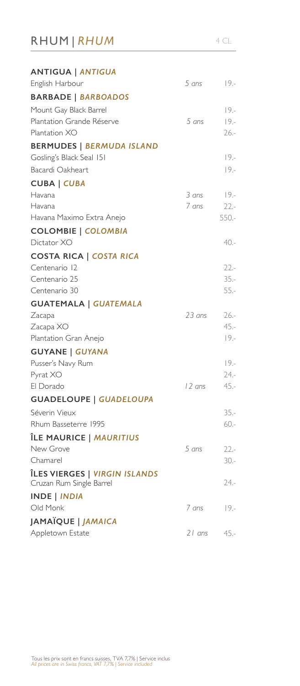## RHUM | *RHUM* 4 CL

| <b>ANTIGUA   ANTIGUA</b>                                  |        |         |
|-----------------------------------------------------------|--------|---------|
| English Harbour                                           | 5 ans  | $19. -$ |
| <b>BARBADE   BARBOADOS</b>                                |        |         |
| Mount Gay Black Barrel                                    |        | $19 -$  |
| Plantation Grande Réserve                                 | 5 ans  | $19 -$  |
| Plantation XO                                             |        | $26 -$  |
| <b>BERMUDES   BERMUDA ISLAND</b>                          |        |         |
| Gosling's Black Seal 151                                  |        | $19. -$ |
| Bacardi Oakheart                                          |        | $19 -$  |
| <b>CUBA   CUBA</b>                                        |        |         |
| Havana                                                    | 3 ans  | $19. -$ |
| Havana                                                    | 7 ans  | $22 -$  |
| Havana Maximo Extra Anejo                                 |        | $550 -$ |
| <b>COLOMBIE   COLOMBIA</b>                                |        |         |
| Dictator XO                                               |        | 40.-    |
| <b>COSTA RICA   COSTA RICA</b>                            |        |         |
| Centenario 12                                             |        | $22 -$  |
| Centenario 25                                             |        | $35 -$  |
| Centenario 30                                             |        | $55. -$ |
| <b>GUATEMALA   GUATEMALA</b>                              |        |         |
| Zacapa                                                    | 23 ans | $26 -$  |
| Zacapa XO                                                 |        | $45. -$ |
| Plantation Gran Anejo                                     |        | $19 -$  |
| <b>GUYANE   GUYANA</b>                                    |        |         |
| Pusser's Navy Rum                                         |        | $19 -$  |
| Pyrat XO                                                  |        | $24. -$ |
| El Dorado                                                 | 12 ans | $45. -$ |
| <b>GUADELOUPE   GUADELOUPA</b>                            |        |         |
| Séverin Vieux                                             |        | $35 -$  |
| Rhum Basseterre 1995                                      |        | $60 -$  |
| ÎLE MAURICE   MAURITIUS                                   |        |         |
| New Grove                                                 | 5 ans  | $22 -$  |
| Chamarel                                                  |        | $30 -$  |
| ÎLES VIERGES   VIRGIN ISLANDS<br>Cruzan Rum Single Barrel |        | 24.-    |
| <b>INDE   INDIA</b>                                       |        |         |
| Old Monk                                                  | 7 ans  | $19. -$ |
| JAMAÏQUE   JAMAICA                                        |        |         |
| Appletown Estate                                          | 21 ans | 45.-    |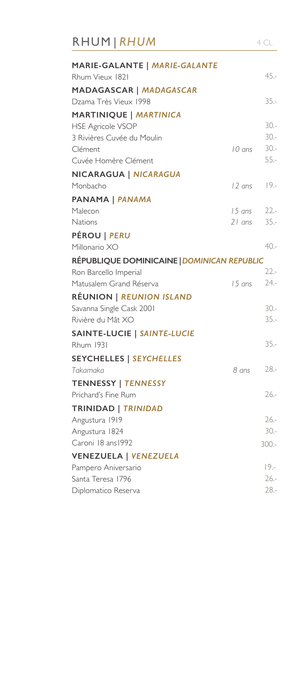| RHUM   RHUM                                               |        | 4 CL             |
|-----------------------------------------------------------|--------|------------------|
| MARIE-GALANTE   MARIE-GALANTE<br>Rhum Vieux 1821          |        | $45 -$           |
| MADAGASCAR   MADAGASCAR                                   |        |                  |
| Dzama Très Vieux 1998                                     |        | $35 -$           |
| <b>MARTINIQUE   MARTINICA</b><br><b>HSE Agricole VSOP</b> |        | $30 -$           |
| 3 Rivières Cuvée du Moulin                                |        | $30 -$           |
| Clément                                                   | 10 ans | $30 -$           |
| Cuvée Homère Clément                                      |        | $55 -$           |
| NICARAGUA   NICARAGUA                                     |        |                  |
| Monbacho                                                  | 12 ans | $19. -$          |
| <b>PANAMA   PANAMA</b>                                    |        |                  |
| Malecon                                                   |        | 15 ans 22 .-     |
| Nations                                                   | 21 ans | $35 -$           |
| <b>PÉROU   PERU</b>                                       |        |                  |
| Millonario XO                                             |        | $40 -$           |
| RÉPUBLIQUE DOMINICAINE   DOMINICAN REPUBLIC               |        |                  |
| Ron Barcello Imperial                                     |        | $22 -$           |
| Matusalem Grand Réserva                                   | 15 ans | $24. -$          |
| <b>RÉUNION   REUNION ISLAND</b>                           |        |                  |
| Savanna Single Cask 2001                                  |        | $30 -$           |
| Rivière du Mât XO                                         |        | $35 -$           |
| SAINTE-LUCIE   SAINTE-LUCIE                               |        |                  |
| <b>Rhum 1931</b>                                          |        | $35 -$           |
| <b>SEYCHELLES   SEYCHELLES</b>                            |        |                  |
| Takamaka                                                  | 8 ans  | $28 -$           |
| <b>TENNESSY   TENNESSY</b>                                |        |                  |
| Prichard's Fine Rum                                       |        | $26 -$           |
| TRINIDAD   TRINIDAD                                       |        |                  |
| Angustura 1919                                            |        | $26 -$<br>$30 -$ |
| Angustura 1824<br>Caroni 18 ans 1992                      |        |                  |
|                                                           |        | $300 -$          |
| <b>VENEZUELA   VENEZUELA</b><br>Pampero Aniversario       |        | $19 -$           |
| Santa Teresa 1796                                         |        | $26 -$           |
| Diplomatico Reserva                                       |        | $28 -$           |
|                                                           |        |                  |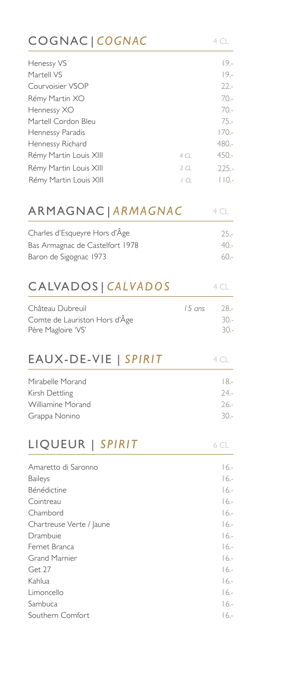| COGNAC   COGNAC                 |        | 4 CL        |
|---------------------------------|--------|-------------|
| Henessy VS                      |        | $19. -$     |
| Martell VS                      |        | $19 -$      |
| Courvoisier VSOP                |        | $22 -$      |
| Rémy Martin XO                  |        | $70 -$      |
| Hennessy XO                     |        | $70 -$      |
| Martell Cordon Bleu             |        | $75. -$     |
| Hennessy Paradis                |        | $170 -$     |
| Hennessy Richard                |        | $480 -$     |
| Rémy Martin Louis XIII          | 4 CL   | $450 -$     |
| Rémy Martin Louis XIII          | 2CL    | $225 -$     |
| Rémy Martin Louis XIII          | ICL    | $ $ $ $ 0.- |
| ARMAGNAC   ARMAGNAC             |        | 4 CL        |
| Charles d'Esqueyre Hors d'Âge   |        | $25 -$      |
| Bas Armagnac de Castelfort 1978 |        | $40 -$      |
| Baron de Sigognac 1973          |        | $60 -$      |
| CALVADOS   CALVADOS             |        | 4CL         |
| Château Dubreuil                | 15 ans | $28 -$      |
| Comte de Lauriston Hors d'Âge   |        | $30 -$      |
| Père Magloire 'VS'              |        | $30 -$      |
| EAUX-DE-VIE   SPIRIT            |        | 4 CL        |
| Mirabelle Morand                |        | $18. -$     |
| Kirsh Dettling                  |        | $24. -$     |
| Williamine Morand               |        | $26. -$     |
| Grappa Nonino                   |        | $30 -$      |
| LIQUEUR   SPIRIT                |        | 6 CL        |
| Amaretto di Saronno             |        | $16. -$     |
| <b>Baileys</b>                  |        | $16 -$      |
| Bénédictine                     |        | $16. -$     |
| Cointreau                       |        | $16.-$      |
| Chambord                        |        | $16 -$      |
| Chartreuse Verte / Jaune        |        | $16 -$      |
| Drambuie                        |        | $16.-$      |
| Fernet Branca                   |        | $16 -$      |
| <b>Grand Marnier</b>            |        | $16. -$     |
| Get 27                          |        | $16.-$      |
| Kahlua                          |        | $16 -$      |
| Limoncello                      |        | $16 -$      |
| Sambuca                         |        | $16. -$     |
| Southern Comfort                |        | 16.-        |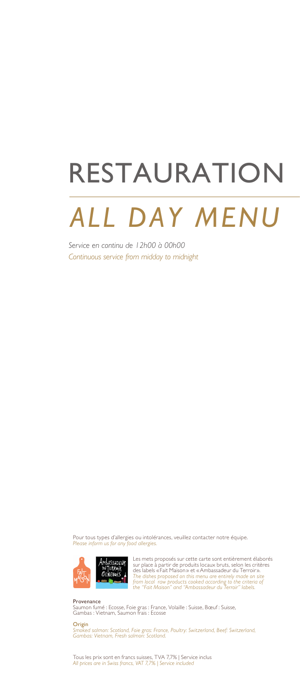## RESTAURATION

## *ALL DAY MENU*

*Service en continu de 12h00 à 00h00 Continuous service from midday to midnight*

Pour tous types d'allergies ou intolérances, veuillez contacter notre équipe. *Please inform us for any food allergies.*



Les mets proposés sur cette carte sont entièrement élaborés sur place à partir de produits locaux bruts, selon les critères<br>des labels «Fait Maison» et «Ambassadeur du Terroir».<br>The dishes proposed on this menu are entirely made on site<br>from local raw products cooked according to t

Provenance Saumon fumé : Ecosse, Foie gras : France, Volaille : Suisse, Bœuf : Suisse, Gambas : Vietnam, Saumon frais : Ecosse

#### Origin

*Smoked salmon: Scotland, Foie gras: France, Poultry: Switzerland, Beef: Switzerland, Gambas: Vietnam, Fresh salmon: Scotland.*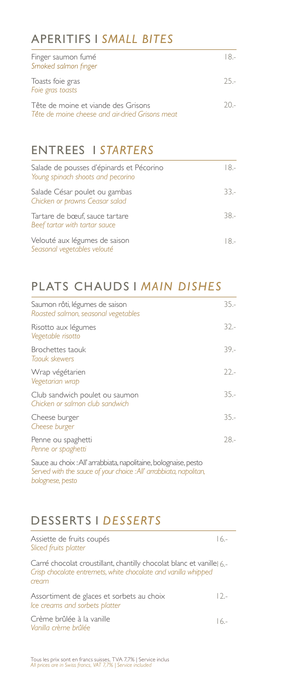#### APERITIFS 1 *SMALL BITES*

| Finger saumon fumé<br>Smoked salmon finger                                             |        |
|----------------------------------------------------------------------------------------|--------|
| Toasts foie gras<br>Foie gras toasts                                                   | $25 -$ |
| Tête de moine et viande des Grisons<br>Tête de moine cheese and air-dried Grisons meat | $20 -$ |

#### ENTREES 1 *STARTERS*

| Salade de pousses d'épinards et Pécorino<br>Young spinach shoots and pecorino | I 8.-  |
|-------------------------------------------------------------------------------|--------|
| Salade César poulet ou gambas<br>Chicken or prawns Ceasar salad               | $33 -$ |
| Tartare de bœuf, sauce tartare<br>Beef tartar with tartar sauce               | 38.-   |
| Velouté aux légumes de saison<br>Seasonal vegetables velouté                  | 18 -   |

#### PLATS CHAUDS 1 *MAIN DISHES*

| $35 -$ |
|--------|
| $32 -$ |
| $39 -$ |
| $22 -$ |
| $35 -$ |
| $35 -$ |
| $28 -$ |
|        |

Sauce au choix : All' arrabbiata, napolitaine, bolognaise, pesto *Served with the sauce of your choice : All' arrabbiata, napolitan, bolognese, pesto* 

#### DESSERTS 1 *DESSERTS*

| Assiette de fruits coupés<br>Sliced fruits platter                                                                                               | 16 - |
|--------------------------------------------------------------------------------------------------------------------------------------------------|------|
| Carré chocolat croustillant, chantilly chocolat blanc et vanille  6,-<br>Crisp chocolate entremets, white chocolate and vanilla whipped<br>cream |      |
| Assortiment de glaces et sorbets au choix<br>Ice creams and sorbets platter                                                                      | 12 - |
| Crème brûlée à la vanille<br>Vanilla crème brûlée                                                                                                | 16 - |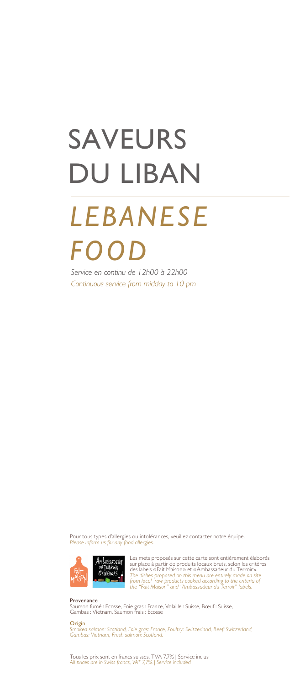# SAVEURS DU LIBAN

## *LEBANESE FOOD*

*Service en continu de 12h00 à 22h00 Continuous service from midday to 10 pm*

Pour tous types d'allergies ou intolérances, veuillez contacter notre équipe. *Please inform us for any food allergies.*



Les mets proposés sur cette carte sont entièrement élaborés<br>sur place à partir de produits locaux bruts, selon les critères<br>des labels «Fait Maison » et «Ambassadeur du Terroir».<br>The dishes proposed on this menu are entire

Provenance Saumon fumé : Ecosse, Foie gras : France, Volaille : Suisse, Bœuf : Suisse, Gambas : Vietnam, Saumon frais : Ecosse

#### Origin

**...**<br>red salmon: Scotland, Foie gras: France, Poultry: Switzerland, Beef: Switzerland, *Gambas: Vietnam, Fresh salmon: Scotland.*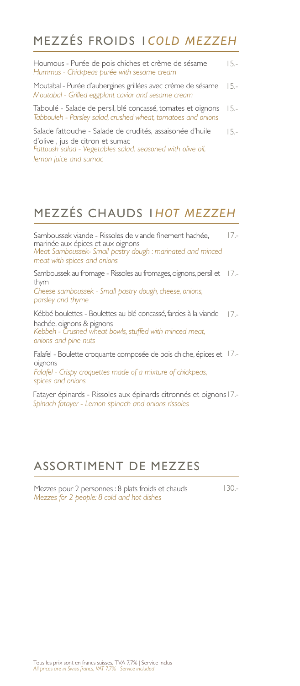#### MEZZÉS FROIDS 1*COLD MEZZEH*

| Houmous - Purée de pois chiches et crème de sésame<br>Hummus - Chickpeas purée with sesame cream                                                                                     | $15 -$ |
|--------------------------------------------------------------------------------------------------------------------------------------------------------------------------------------|--------|
| Moutabal - Purée d'aubergines grillées avec crème de sésame 15.-<br>Moutabal - Grilled eggplant caviar and sesame cream                                                              |        |
| Taboulé - Salade de persil, blé concassé, tomates et oignons 15.<br>Tabbouleh - Parsley salad, crushed wheat, tomatoes and onions                                                    |        |
| Salade fattouche - Salade de crudités, assaisonée d'huile<br>d'olive, jus de citron et sumac<br>Fattoush salad - Vegetables salad, seasoned with olive oil,<br>lemon juice and sumac | $15 -$ |

#### MEZZÉS CHAUDS 1*HOT MEZZEH*

Samboussek viande - Rissoles de viande finement hachée, 17. marinée aux épices et aux oignons *Meat Samboussek- Small pastry dough : marinated and minced meat with spices and onions*

Samboussek au fromage - Rissoles au fromages, oignons, persil et 17. thym

*Cheese samboussek - Small pastry dough, cheese, onions, parsley and thyme*

Kébbé boulettes - Boulettes au blé concassé, farcies à la viande 17. hachée, oignons & pignons *Kebbeh - Crushed wheat bowls, stuffed with minced meat, onions and pine nuts*

Falafel - Boulette croquante composée de pois chiche, épices et 17.oignons *Falafel - Crispy croquettes made of a mixture of chickpeas, spices and onions*

Fatayer épinards - Rissoles aux épinards citronnés et oignons 17.- *Spinach fatayer - Lemon spinach and onions rissoles*

#### ASSORTIMENT DE MEZZES

Mezzes pour 2 personnes : 8 plats froids et chauds *Mezzes for 2 people: 8 cold and hot dishes*

130.-